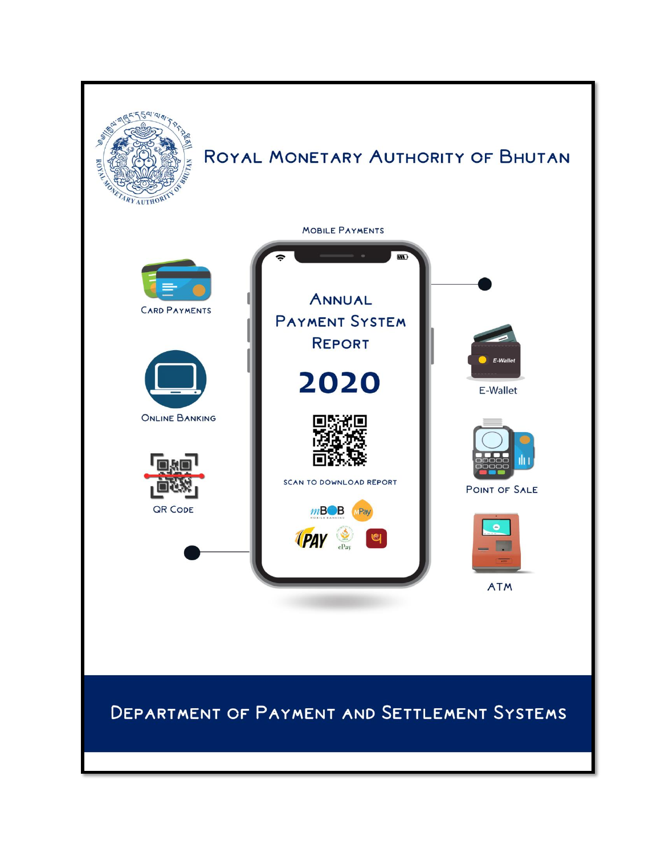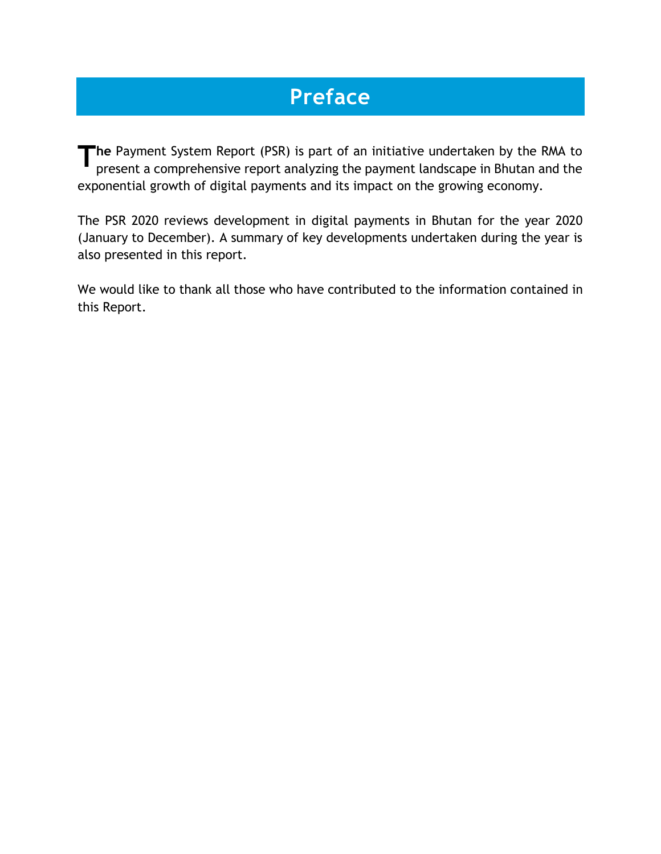# **Preface**

**he** Payment System Report (PSR) is part of an initiative undertaken by the RMA to present a comprehensive report analyzing the payment landscape in Bhutan and the present a comprehensive report analyzing the payment landscape in Bhutan and the exponential growth of digital payments and its impact on the growing economy.

The PSR 2020 reviews development in digital payments in Bhutan for the year 2020 (January to December). A summary of key developments undertaken during the year is also presented in this report.

We would like to thank all those who have contributed to the information contained in this Report.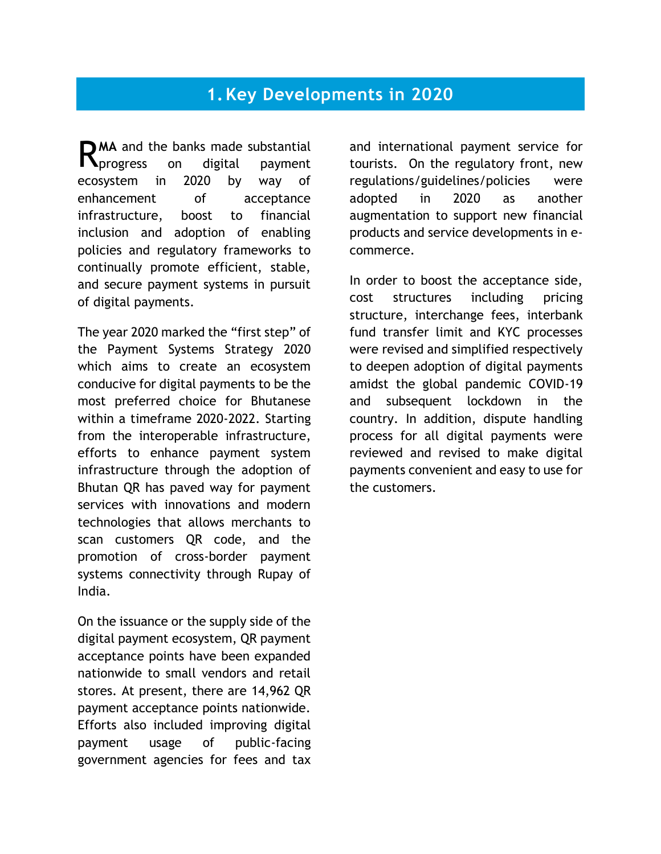## **1.Key Developments in 2020**

MA and the banks made substantial RMA and the banks made substantial<br>Reprogress on digital payment ecosystem in 2020 by way of enhancement of acceptance infrastructure, boost to financial inclusion and adoption of enabling policies and regulatory frameworks to continually promote efficient, stable, and secure payment systems in pursuit of digital payments.

The year 2020 marked the "first step" of the Payment Systems Strategy 2020 which aims to create an ecosystem conducive for digital payments to be the most preferred choice for Bhutanese within a timeframe 2020-2022. Starting from the interoperable infrastructure, efforts to enhance payment system infrastructure through the adoption of Bhutan QR has paved way for payment services with innovations and modern technologies that allows merchants to scan customers QR code, and the promotion of cross-border payment systems connectivity through Rupay of India.

On the issuance or the supply side of the digital payment ecosystem, QR payment acceptance points have been expanded nationwide to small vendors and retail stores. At present, there are 14,962 QR payment acceptance points nationwide. Efforts also included improving digital payment usage of public-facing government agencies for fees and tax

and international payment service for tourists. On the regulatory front, new regulations/guidelines/policies were adopted in 2020 as another augmentation to support new financial products and service developments in ecommerce.

In order to boost the acceptance side, cost structures including pricing structure, interchange fees, interbank fund transfer limit and KYC processes were revised and simplified respectively to deepen adoption of digital payments amidst the global pandemic COVID-19 and subsequent lockdown in the country. In addition, dispute handling process for all digital payments were reviewed and revised to make digital payments convenient and easy to use for the customers.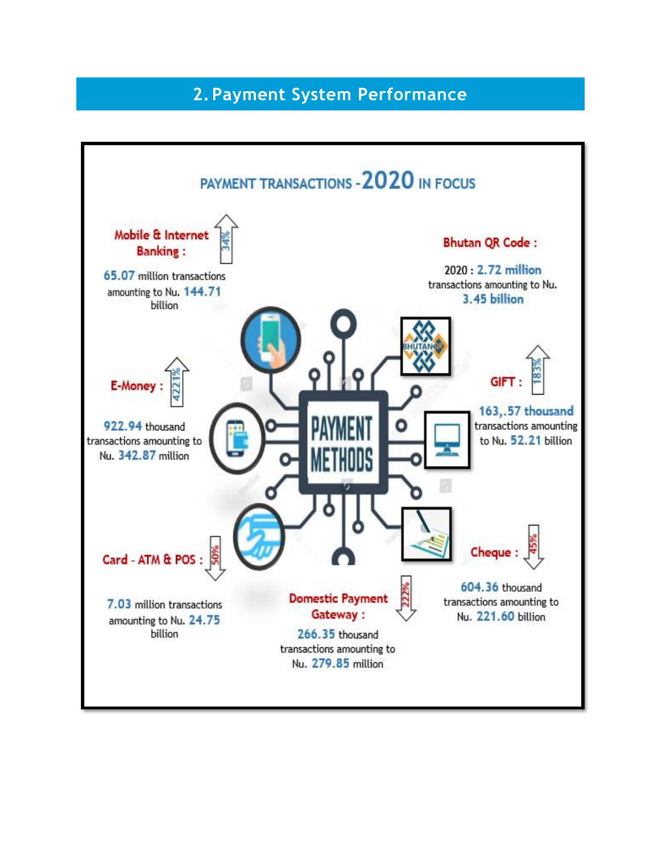## **2.Payment System Performance**

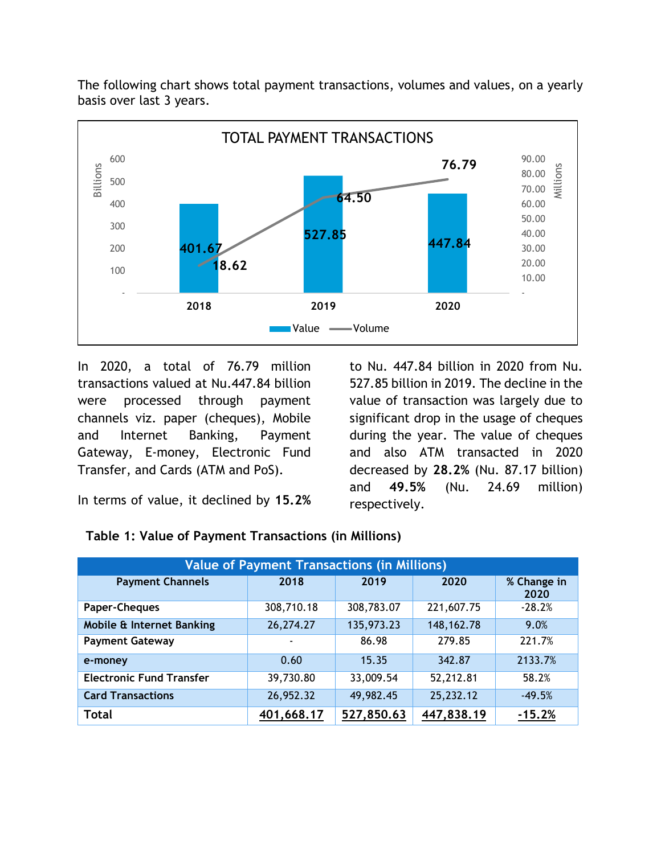The following chart shows total payment transactions, volumes and values, on a yearly basis over last 3 years.



In 2020, a total of 76.79 million transactions valued at Nu.447.84 billion were processed through payment channels viz. paper (cheques), Mobile and Internet Banking, Payment Gateway, E-money, Electronic Fund Transfer, and Cards (ATM and PoS).

to Nu. 447.84 billion in 2020 from Nu. 527.85 billion in 2019. The decline in the value of transaction was largely due to significant drop in the usage of cheques during the year. The value of cheques and also ATM transacted in 2020 decreased by **28.2%** (Nu. 87.17 billion) and **49.5%** (Nu. 24.69 million) respectively.

In terms of value, it declined by **15.2%**

|  | Table 1: Value of Payment Transactions (in Millions) |
|--|------------------------------------------------------|
|--|------------------------------------------------------|

| <b>Value of Payment Transactions (in Millions)</b> |            |            |              |                     |
|----------------------------------------------------|------------|------------|--------------|---------------------|
| <b>Payment Channels</b>                            | 2018       | 2019       | 2020         | % Change in<br>2020 |
| Paper-Cheques                                      | 308,710.18 | 308,783.07 | 221,607.75   | $-28.2%$            |
| Mobile & Internet Banking                          | 26,274.27  | 135,973.23 | 148, 162. 78 | 9.0%                |
| <b>Payment Gateway</b>                             |            | 86.98      | 279.85       | 221.7%              |
| e-money                                            | 0.60       | 15.35      | 342.87       | 2133.7%             |
| <b>Electronic Fund Transfer</b>                    | 39,730.80  | 33,009.54  | 52,212.81    | 58.2%               |
| <b>Card Transactions</b>                           | 26,952.32  | 49,982.45  | 25,232.12    | $-49.5%$            |
| <b>Total</b>                                       | 401,668.17 | 527,850.63 | 447,838.19   | $-15.2%$            |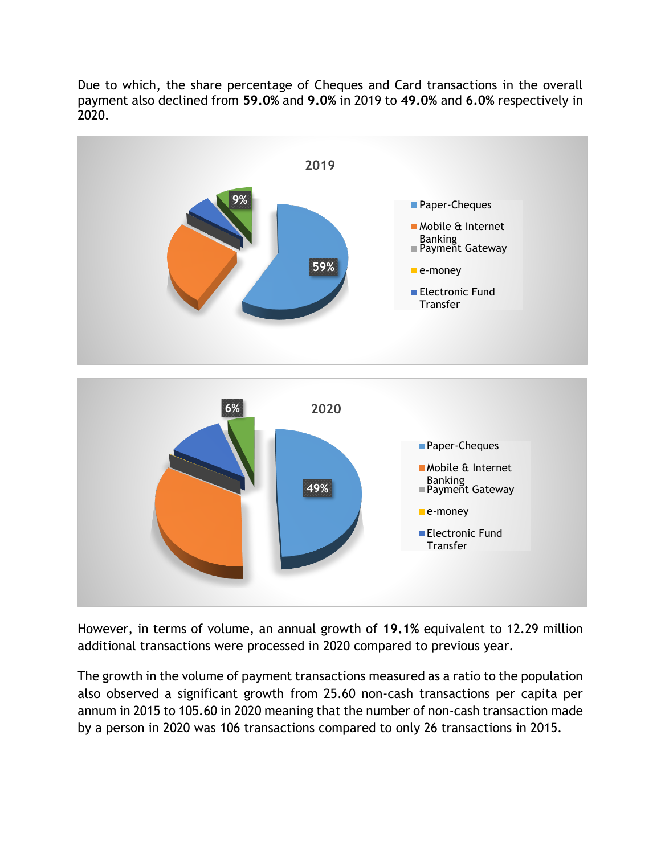Due to which, the share percentage of Cheques and Card transactions in the overall payment also declined from **59.0%** and **9.0%** in 2019 to **49.0%** and **6.0%** respectively in 2020.



However, in terms of volume, an annual growth of **19.1%** equivalent to 12.29 million additional transactions were processed in 2020 compared to previous year.

The growth in the volume of payment transactions measured as a ratio to the population also observed a significant growth from 25.60 non-cash transactions per capita per annum in 2015 to 105.60 in 2020 meaning that the number of non-cash transaction made by a person in 2020 was 106 transactions compared to only 26 transactions in 2015.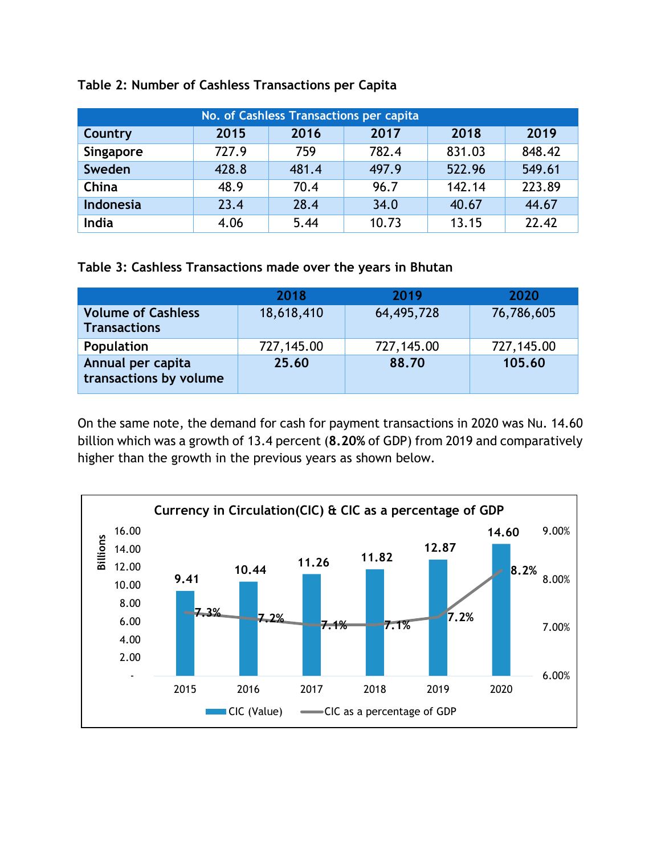| No. of Cashless Transactions per capita |       |       |       |        |        |
|-----------------------------------------|-------|-------|-------|--------|--------|
| <b>Country</b>                          | 2015  | 2016  | 2017  | 2018   | 2019   |
| Singapore                               | 727.9 | 759   | 782.4 | 831.03 | 848.42 |
| Sweden                                  | 428.8 | 481.4 | 497.9 | 522.96 | 549.61 |
| China                                   | 48.9  | 70.4  | 96.7  | 142.14 | 223.89 |
| <b>Indonesia</b>                        | 23.4  | 28.4  | 34.0  | 40.67  | 44.67  |
| India                                   | 4.06  | 5.44  | 10.73 | 13.15  | 22.42  |

### **Table 2: Number of Cashless Transactions per Capita**

**Table 3: Cashless Transactions made over the years in Bhutan**

|                                                  | 2018       | 2019       | 2020       |
|--------------------------------------------------|------------|------------|------------|
| <b>Volume of Cashless</b><br><b>Transactions</b> | 18,618,410 | 64,495,728 | 76,786,605 |
| Population                                       | 727,145.00 | 727,145.00 | 727,145.00 |
| Annual per capita<br>transactions by volume      | 25.60      | 88.70      | 105.60     |

On the same note, the demand for cash for payment transactions in 2020 was Nu. 14.60 billion which was a growth of 13.4 percent (**8.20%** of GDP) from 2019 and comparatively higher than the growth in the previous years as shown below.

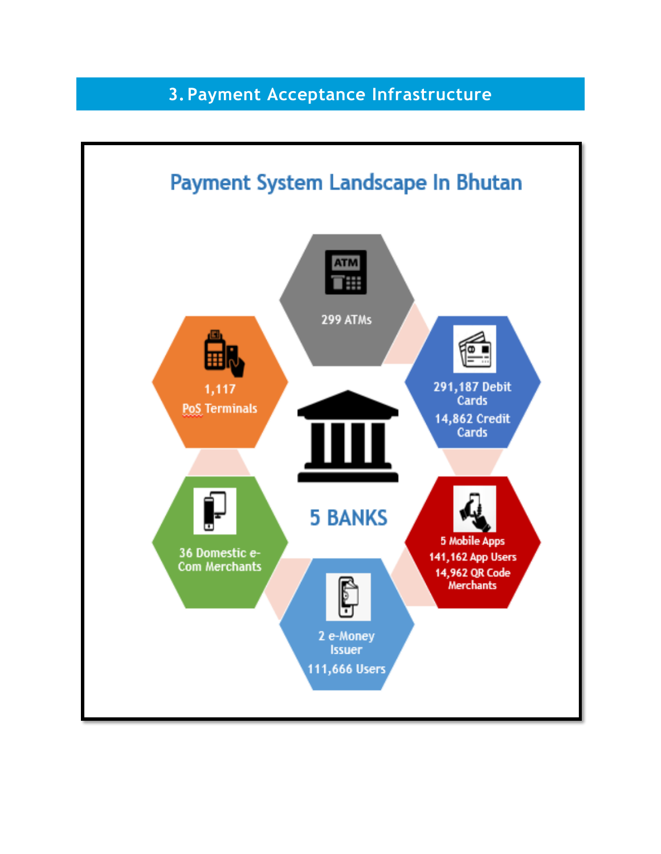## **3.Payment Acceptance Infrastructure**

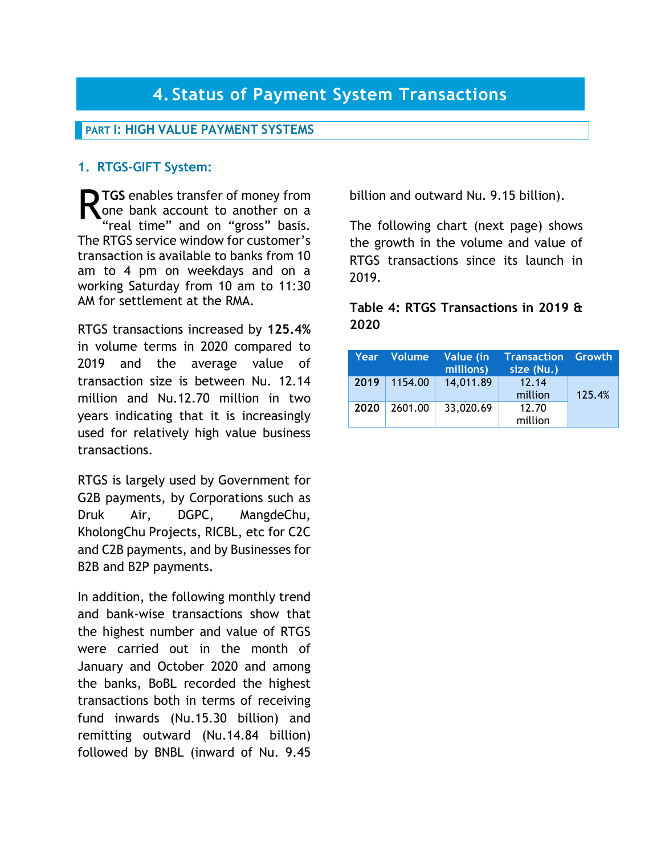## **PART I: HIGH VALUE PAYMENT SYSTEMS**

## **1. RTGS-GIFT System:**

**TGS** enables transfer of money from<br>
one bank account to another on a<br>
"real time" and on "gross" basis one bank account to another on a "real time" and on "gross" basis. The RTGS service window for customer's transaction is available to banks from 10 am to 4 pm on weekdays and on a working Saturday from 10 am to 11:30 AM for settlement at the RMA.

RTGS transactions increased by **125.4%** in volume terms in 2020 compared to 2019 and the average value of transaction size is between Nu. 12.14 million and Nu.12.70 million in two years indicating that it is increasingly used for relatively high value business transactions.

RTGS is largely used by Government for G2B payments, by Corporations such as Druk Air, DGPC, MangdeChu, KholongChu Projects, RICBL, etc for C2C and C2B payments, and by Businesses for B2B and B2P payments.

In addition, the following monthly trend and bank-wise transactions show that the highest number and value of RTGS were carried out in the month of January and October 2020 and among the banks, BoBL recorded the highest transactions both in terms of receiving fund inwards (Nu.15.30 billion) and remitting outward (Nu.14.84 billion) followed by BNBL (inward of Nu. 9.45

billion and outward Nu. 9.15 billion).

The following chart (next page) shows the growth in the volume and value of RTGS transactions since its launch in 2019.

## **Table 4: RTGS Transactions in 2019 & 2020**

|      | Year Volume    | Value (in<br>millions) | <b>Transaction Growth</b><br>size (Nu.) |        |
|------|----------------|------------------------|-----------------------------------------|--------|
|      | $2019$ 1154.00 | 14,011.89              | 12.14<br>million                        | 125.4% |
| 2020 | 2601.00        | 33,020.69              | 12.70<br>million                        |        |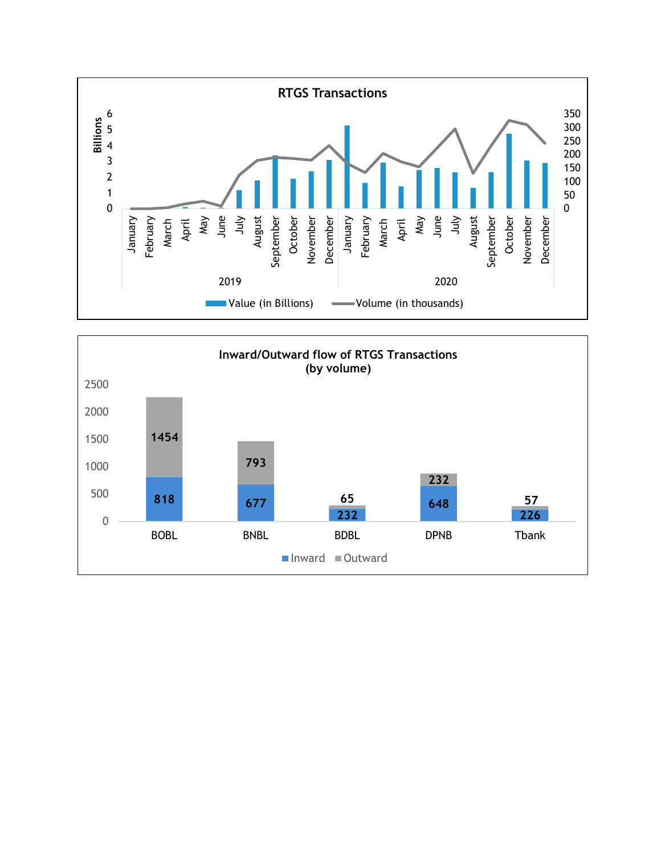

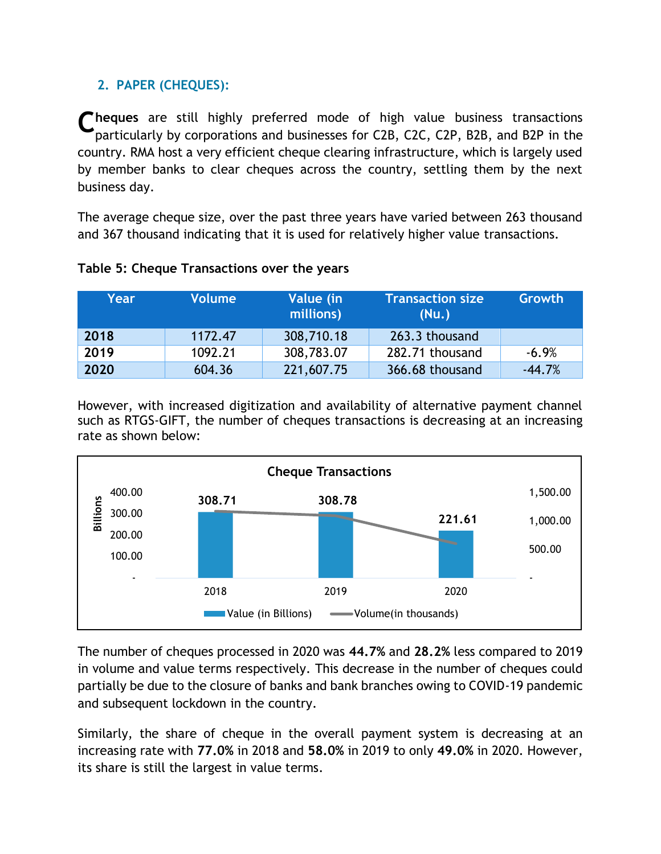## **2. PAPER (CHEQUES):**

**C** heques are still highly preferred mode of high value business transactions<br>
narticularly by corporations and businesses for C2B C2C C2P B2B and B2P in the particularly by corporations and businesses for C2B, C2C, C2P, B2B, and B2P in the country. RMA host a very efficient cheque clearing infrastructure, which is largely used by member banks to clear cheques across the country, settling them by the next business day.

The average cheque size, over the past three years have varied between 263 thousand and 367 thousand indicating that it is used for relatively higher value transactions.

| Year | <b>Volume</b> | Value (in<br>millions) | <b>Transaction size</b><br>(Nu.) | Growth   |
|------|---------------|------------------------|----------------------------------|----------|
| 2018 | 1172.47       | 308,710.18             | 263.3 thousand                   |          |
| 2019 | 1092.21       | 308,783.07             | 282.71 thousand                  | $-6.9%$  |
| 2020 | 604.36        | 221,607.75             | 366.68 thousand                  | $-44.7%$ |

## **Table 5: Cheque Transactions over the years**

However, with increased digitization and availability of alternative payment channel such as RTGS-GIFT, the number of cheques transactions is decreasing at an increasing rate as shown below:



The number of cheques processed in 2020 was **44.7%** and **28.2%** less compared to 2019 in volume and value terms respectively. This decrease in the number of cheques could partially be due to the closure of banks and bank branches owing to COVID-19 pandemic and subsequent lockdown in the country.

Similarly, the share of cheque in the overall payment system is decreasing at an increasing rate with **77.0%** in 2018 and **58.0%** in 2019 to only **49.0%** in 2020. However, its share is still the largest in value terms.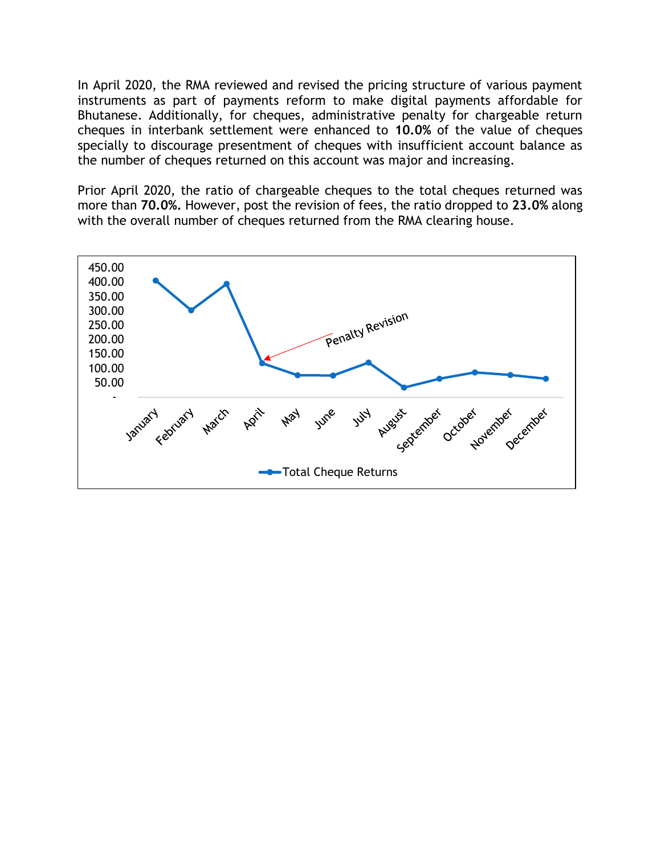In April 2020, the RMA reviewed and revised the pricing structure of various payment instruments as part of payments reform to make digital payments affordable for Bhutanese. Additionally, for cheques, administrative penalty for chargeable return cheques in interbank settlement were enhanced to **10.0%** of the value of cheques specially to discourage presentment of cheques with insufficient account balance as the number of cheques returned on this account was major and increasing.

Prior April 2020, the ratio of chargeable cheques to the total cheques returned was more than **70.0%.** However, post the revision of fees, the ratio dropped to **23.0%** along with the overall number of cheques returned from the RMA clearing house.

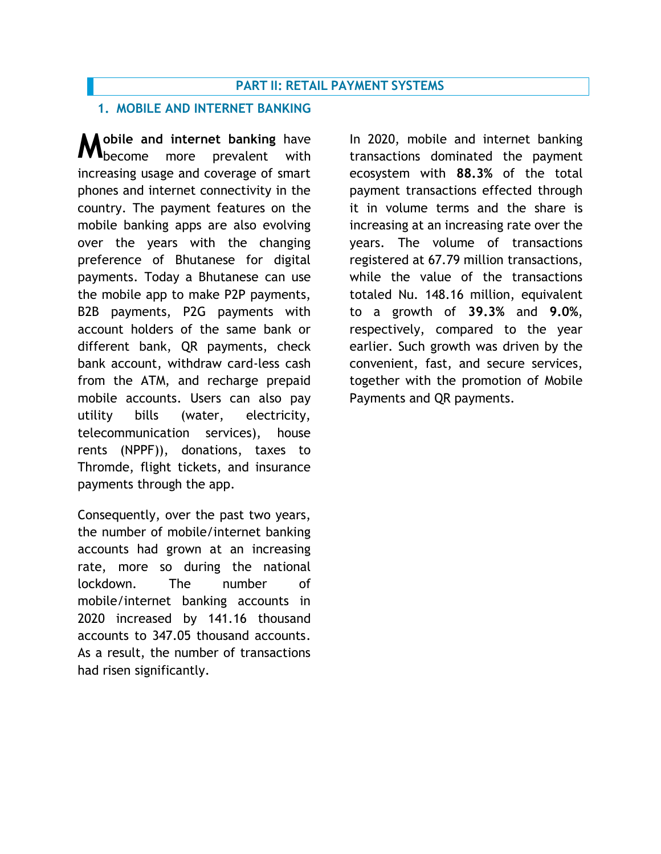#### **PART II: RETAIL PAYMENT SYSTEMS**

#### **1. MOBILE AND INTERNET BANKING**

**M** obile and internet banking have<br> **M** become more prevalent with **I**become more prevalent with increasing usage and coverage of smart phones and internet connectivity in the country. The payment features on the mobile banking apps are also evolving over the years with the changing preference of Bhutanese for digital payments. Today a Bhutanese can use the mobile app to make P2P payments, B2B payments, P2G payments with account holders of the same bank or different bank, QR payments, check bank account, withdraw card-less cash from the ATM, and recharge prepaid mobile accounts. Users can also pay utility bills (water, electricity, telecommunication services), house rents (NPPF)), donations, taxes to Thromde, flight tickets, and insurance payments through the app.

Consequently, over the past two years, the number of mobile/internet banking accounts had grown at an increasing rate, more so during the national lockdown. The number of mobile/internet banking accounts in 2020 increased by 141.16 thousand accounts to 347.05 thousand accounts. As a result, the number of transactions had risen significantly.

In 2020, mobile and internet banking transactions dominated the payment ecosystem with **88.3%** of the total payment transactions effected through it in volume terms and the share is increasing at an increasing rate over the years. The volume of transactions registered at 67.79 million transactions, while the value of the transactions totaled Nu. 148.16 million, equivalent to a growth of **39.3%** and **9.0%**, respectively, compared to the year earlier. Such growth was driven by the convenient, fast, and secure services, together with the promotion of Mobile Payments and QR payments.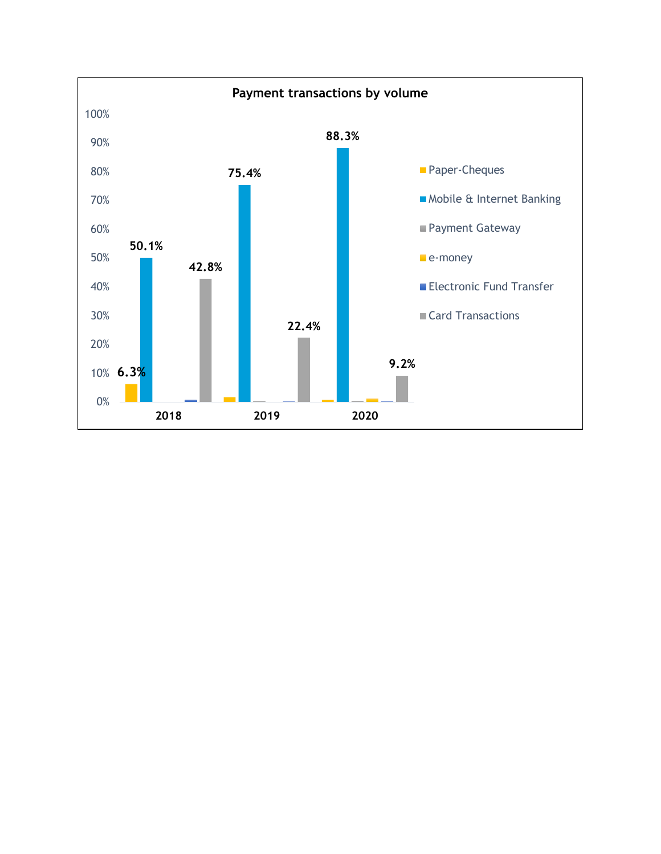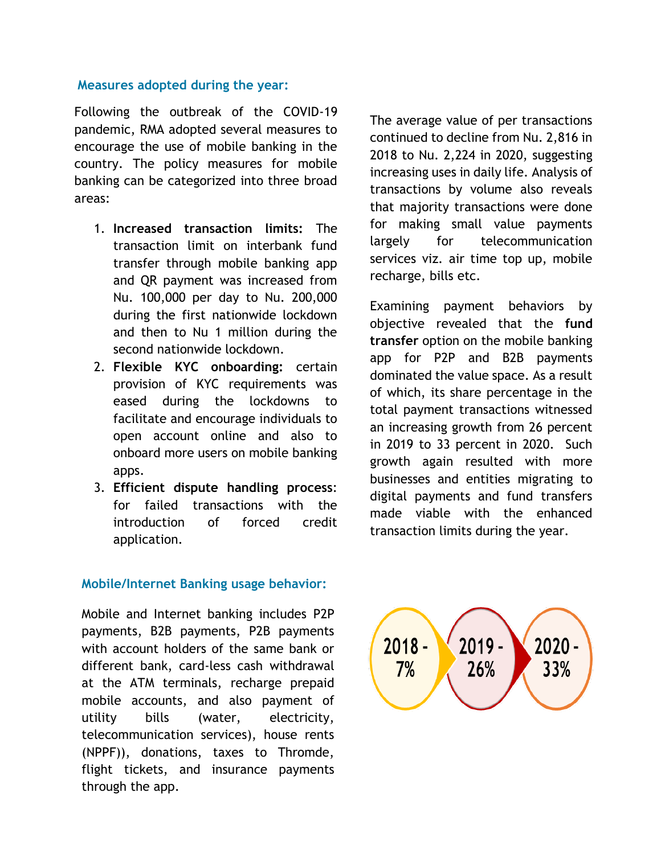#### **Measures adopted during the year:**

Following the outbreak of the COVID-19 pandemic, RMA adopted several measures to encourage the use of mobile banking in the country. The policy measures for mobile banking can be categorized into three broad areas:

- 1. **Increased transaction limits:** The transaction limit on interbank fund transfer through mobile banking app and QR payment was increased from Nu. 100,000 per day to Nu. 200,000 during the first nationwide lockdown and then to Nu 1 million during the second nationwide lockdown.
- 2. **Flexible KYC onboarding:** certain provision of KYC requirements was eased during the lockdowns to facilitate and encourage individuals to open account online and also to onboard more users on mobile banking apps.
- 3. **Efficient dispute handling process**: for failed transactions with the introduction of forced credit application.

#### **Mobile/Internet Banking usage behavior:**

Mobile and Internet banking includes P2P payments, B2B payments, P2B payments with account holders of the same bank or different bank, card-less cash withdrawal at the ATM terminals, recharge prepaid mobile accounts, and also payment of utility bills (water, electricity, telecommunication services), house rents (NPPF)), donations, taxes to Thromde, flight tickets, and insurance payments through the app.

The average value of per transactions continued to decline from Nu. 2,816 in 2018 to Nu. 2,224 in 2020, suggesting increasing uses in daily life. Analysis of transactions by volume also reveals that majority transactions were done for making small value payments largely for telecommunication services viz. air time top up, mobile recharge, bills etc.

Examining payment behaviors by objective revealed that the **fund transfer** option on the mobile banking app for P2P and B2B payments dominated the value space. As a result of which, its share percentage in the total payment transactions witnessed an increasing growth from 26 percent in 2019 to 33 percent in 2020. Such growth again resulted with more businesses and entities migrating to digital payments and fund transfers made viable with the enhanced transaction limits during the year.

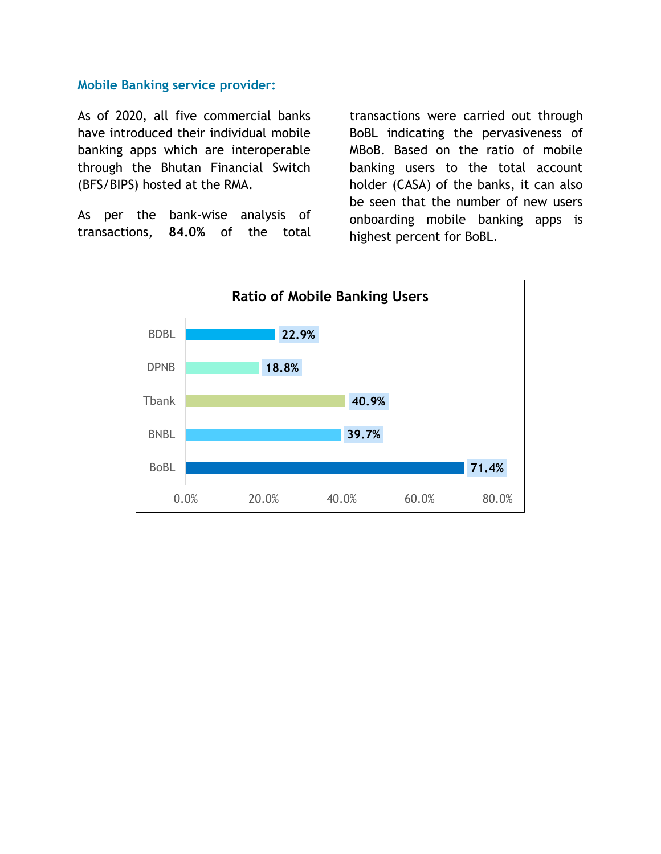#### **Mobile Banking service provider:**

As of 2020, all five commercial banks have introduced their individual mobile banking apps which are interoperable through the Bhutan Financial Switch (BFS/BIPS) hosted at the RMA.

As per the bank-wise analysis of transactions, **84.0%** of the total

transactions were carried out through BoBL indicating the pervasiveness of MBoB. Based on the ratio of mobile banking users to the total account holder (CASA) of the banks, it can also be seen that the number of new users onboarding mobile banking apps is highest percent for BoBL.

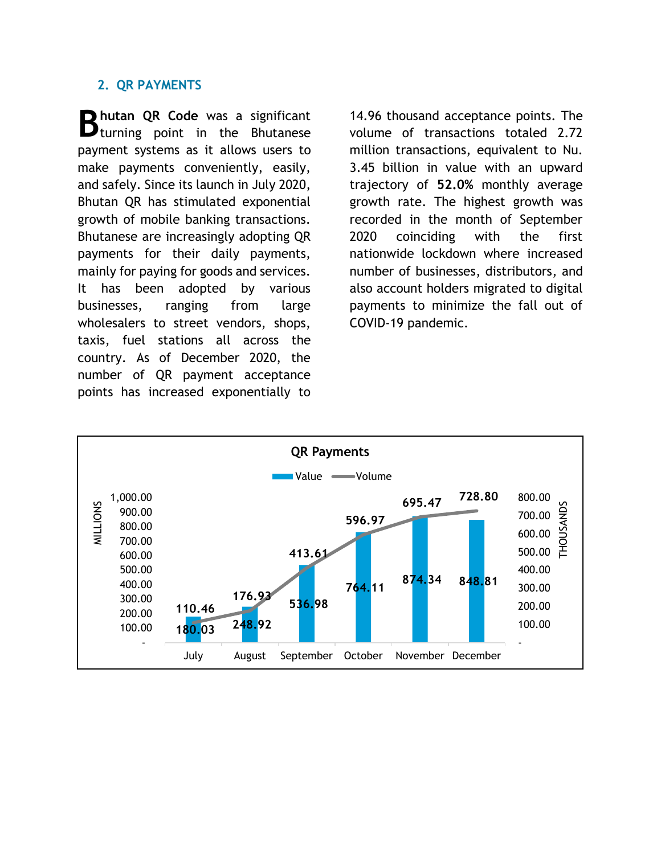#### **2. QR PAYMENTS**

**hutan QR Code** was a significant **B** hutan QR Code was a significant **B** turning point in the Bhutanese payment systems as it allows users to make payments conveniently, easily, and safely. Since its launch in July 2020, Bhutan QR has stimulated exponential growth of mobile banking transactions. Bhutanese are increasingly adopting QR payments for their daily payments, mainly for paying for goods and services. It has been adopted by various businesses, ranging from large wholesalers to street vendors, shops, taxis, fuel stations all across the country. As of December 2020, the number of QR payment acceptance points has increased exponentially to

14.96 thousand acceptance points. The volume of transactions totaled 2.72 million transactions, equivalent to Nu. 3.45 billion in value with an upward trajectory of **52.0%** monthly average growth rate. The highest growth was recorded in the month of September 2020 coinciding with the first nationwide lockdown where increased number of businesses, distributors, and also account holders migrated to digital payments to minimize the fall out of COVID-19 pandemic.

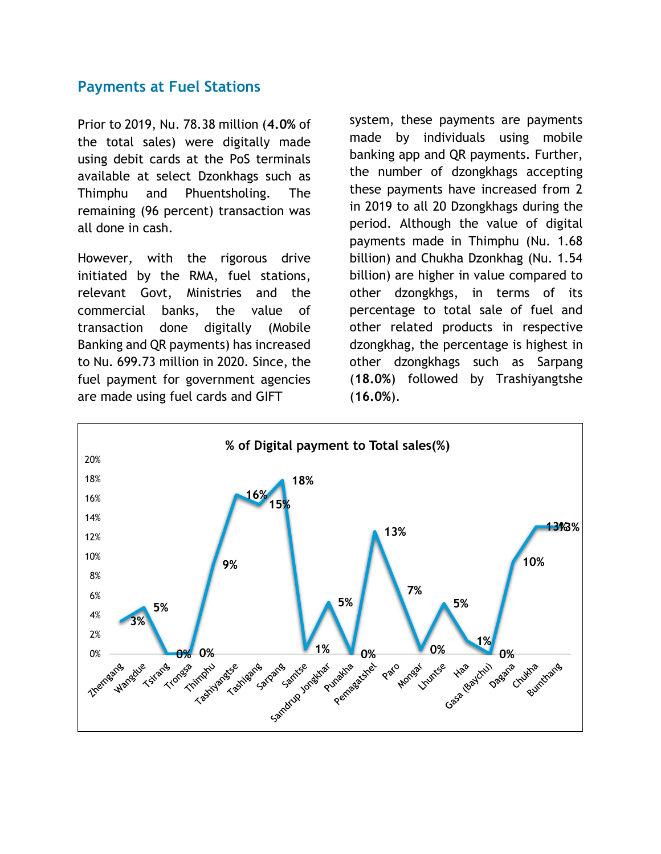## **Payments at Fuel Stations**

Prior to 2019, Nu. 78.38 million (**4.0%** of the total sales) were digitally made using debit cards at the PoS terminals available at select Dzonkhags such as Thimphu and Phuentsholing. The remaining (96 percent) transaction was all done in cash.

However, with the rigorous drive initiated by the RMA, fuel stations, relevant Govt, Ministries and the commercial banks, the value of transaction done digitally (Mobile Banking and QR payments) has increased to Nu. 699.73 million in 2020. Since, the fuel payment for government agencies are made using fuel cards and GIFT

system, these payments are payments made by individuals using mobile banking app and QR payments. Further, the number of dzongkhags accepting these payments have increased from 2 in 2019 to all 20 Dzongkhags during the period. Although the value of digital payments made in Thimphu (Nu. 1.68 billion) and Chukha Dzonkhag (Nu. 1.54 billion) are higher in value compared to other dzongkhgs, in terms of its percentage to total sale of fuel and other related products in respective dzongkhag, the percentage is highest in other dzongkhags such as Sarpang (**18.0%**) followed by Trashiyangtshe (**16.0%**).

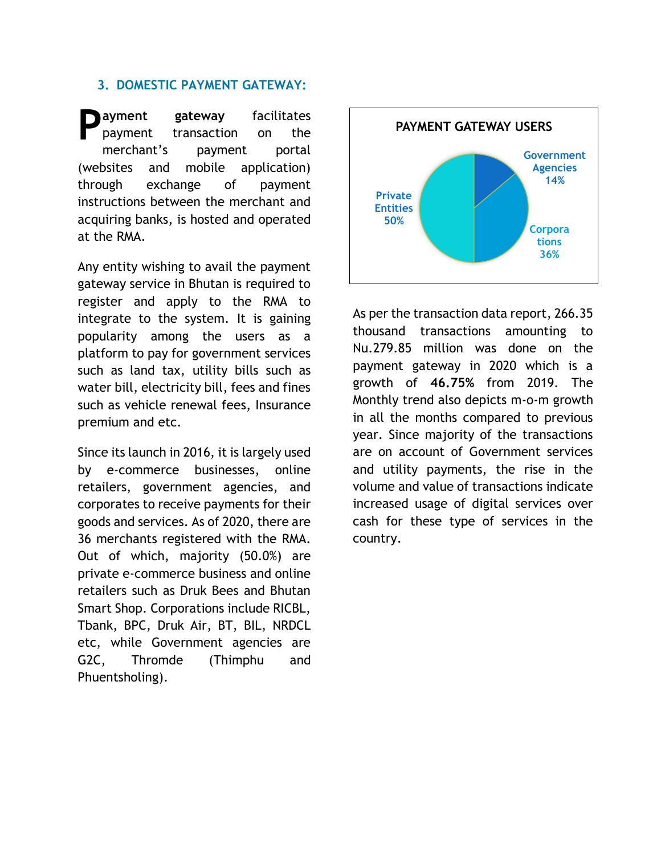#### **3. DOMESTIC PAYMENT GATEWAY:**

**ayment gateway** facilitates payment transaction on the merchant's payment portal (websites and mobile application) through exchange of payment instructions between the merchant and acquiring banks, is hosted and operated at the RMA. **P** ayment gateway facilitates<br>payment transaction on the **PAYMENT GATEWAY USERS** 

Any entity wishing to avail the payment gateway service in Bhutan is required to register and apply to the RMA to integrate to the system. It is gaining popularity among the users as a platform to pay for government services such as land tax, utility bills such as water bill, electricity bill, fees and fines such as vehicle renewal fees, Insurance premium and etc.

Since its launch in 2016, it is largely used by e-commerce businesses, online retailers, government agencies, and corporates to receive payments for their goods and services. As of 2020, there are 36 merchants registered with the RMA. Out of which, majority (50.0%) are private e-commerce business and online retailers such as Druk Bees and Bhutan Smart Shop. Corporations include RICBL, Tbank, BPC, Druk Air, BT, BIL, NRDCL etc, while Government agencies are G2C, Thromde (Thimphu and Phuentsholing).



As per the transaction data report, 266.35 thousand transactions amounting to Nu.279.85 million was done on the payment gateway in 2020 which is a growth of **46.75%** from 2019. The Monthly trend also depicts m-o-m growth in all the months compared to previous year. Since majority of the transactions are on account of Government services and utility payments, the rise in the volume and value of transactions indicate increased usage of digital services over cash for these type of services in the country.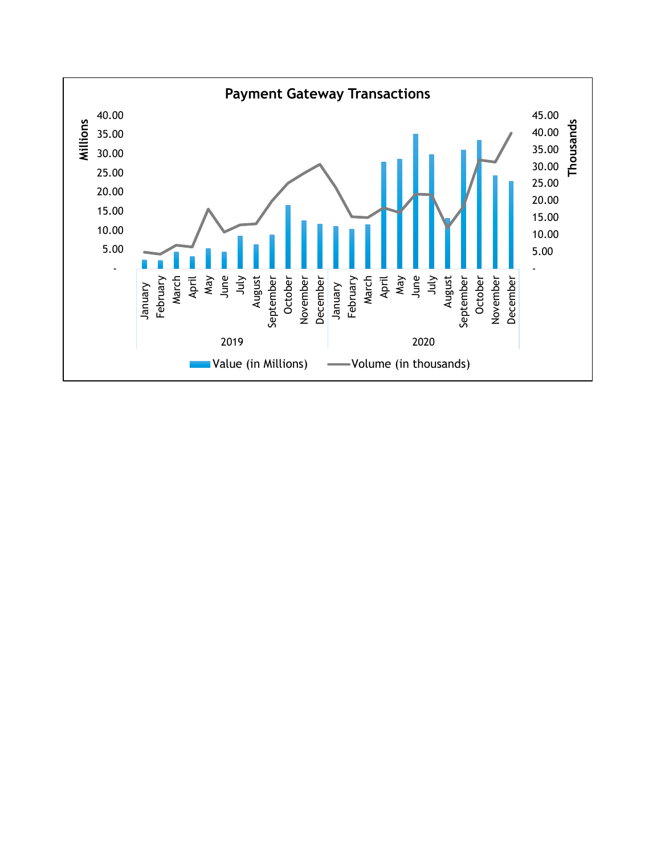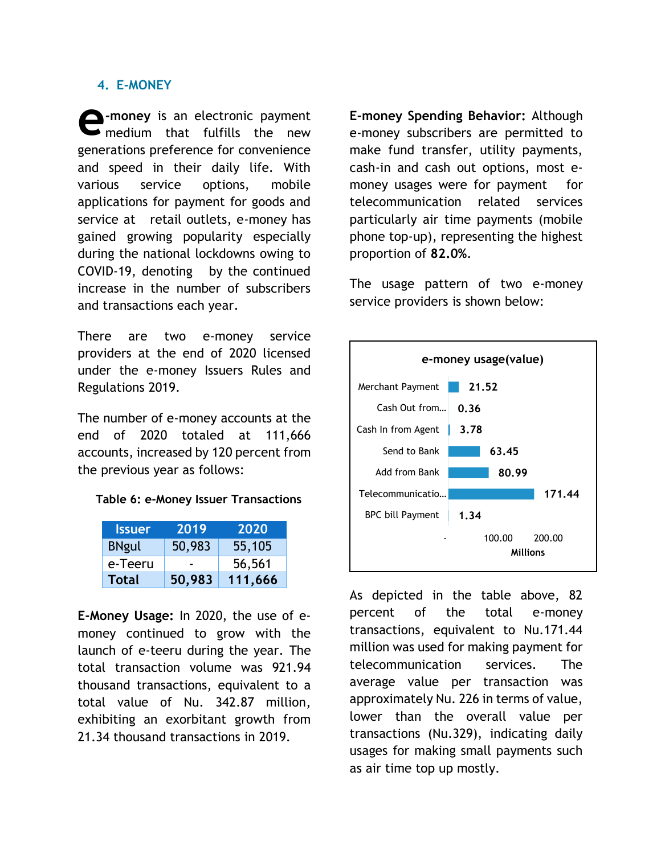#### **4. E-MONEY**

**-money** is an electronic payment  $\rightarrow$  medium that fulfills the new generations preference for convenience and speed in their daily life. With various service options, mobile applications for payment for goods and service at retail outlets, e-money has gained growing popularity especially during the national lockdowns owing to COVID-19, denoting by the continued increase in the number of subscribers and transactions each year. **e**

There are two e-money service providers at the end of 2020 licensed under the e-money Issuers Rules and Regulations 2019.

The number of e-money accounts at the end of 2020 totaled at 111,666 accounts, increased by 120 percent from the previous year as follows:

#### **Table 6: e-Money Issuer Transactions**

| <b>Issuer</b> | 2019   | 2020    |
|---------------|--------|---------|
| <b>BNgul</b>  | 50,983 | 55,105  |
| e-Teeru       |        | 56,561  |
| Total         | 50,983 | 111,666 |

**E-Money Usage:** In 2020, the use of emoney continued to grow with the launch of e-teeru during the year. The total transaction volume was 921.94 thousand transactions, equivalent to a total value of Nu. 342.87 million, exhibiting an exorbitant growth from 21.34 thousand transactions in 2019.

**E-money Spending Behavior:** Although e-money subscribers are permitted to make fund transfer, utility payments, cash-in and cash out options, most emoney usages were for payment for telecommunication related services particularly air time payments (mobile phone top-up), representing the highest proportion of **82.0%**.

The usage pattern of two e-money service providers is shown below:



As depicted in the table above, 82 percent of the total e-money transactions, equivalent to Nu.171.44 million was used for making payment for telecommunication services. The average value per transaction was approximately Nu. 226 in terms of value, lower than the overall value per transactions (Nu.329), indicating daily usages for making small payments such as air time top up mostly.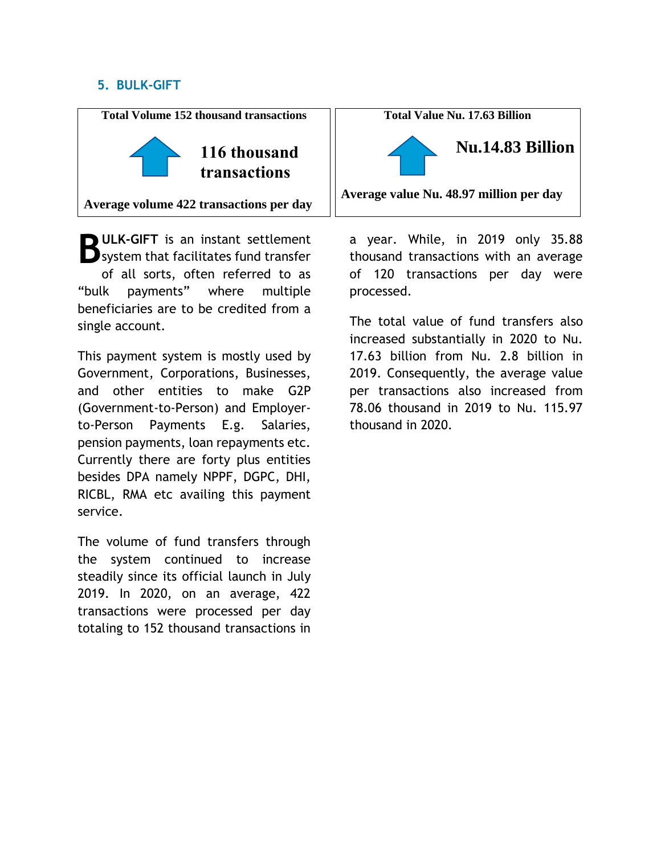### **5. BULK-GIFT**



**D**ULK-GIFT is an instant settlement **B** ULK-GIFT is an instant settlement<br> **B** system that facilitates fund transfer of all sorts, often referred to as "bulk payments" where multiple beneficiaries are to be credited from a single account.

This payment system is mostly used by Government, Corporations, Businesses, and other entities to make G2P (Government-to-Person) and Employerto-Person Payments E.g. Salaries, pension payments, loan repayments etc. Currently there are forty plus entities besides DPA namely NPPF, DGPC, DHI, RICBL, RMA etc availing this payment service.

The volume of fund transfers through the system continued to increase steadily since its official launch in July 2019. In 2020, on an average, 422 transactions were processed per day totaling to 152 thousand transactions in

**Total Value Nu. 17.63 Billion**



**Average value Nu. 48.97 million per day**

a year. While, in 2019 only 35.88 thousand transactions with an average of 120 transactions per day were processed.

The total value of fund transfers also increased substantially in 2020 to Nu. 17.63 billion from Nu. 2.8 billion in 2019. Consequently, the average value per transactions also increased from 78.06 thousand in 2019 to Nu. 115.97 thousand in 2020.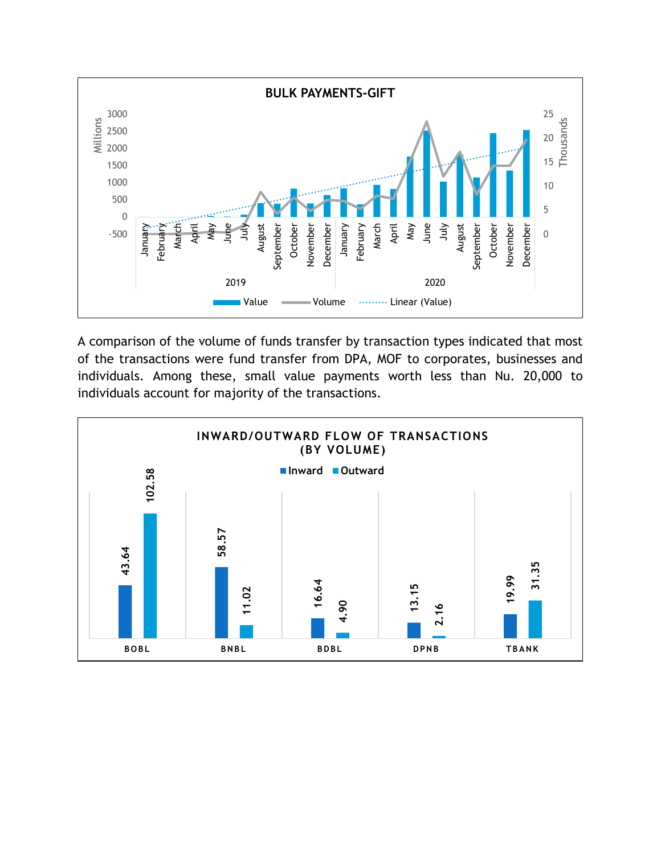

A comparison of the volume of funds transfer by transaction types indicated that most of the transactions were fund transfer from DPA, MOF to corporates, businesses and individuals. Among these, small value payments worth less than Nu. 20,000 to individuals account for majority of the transactions.

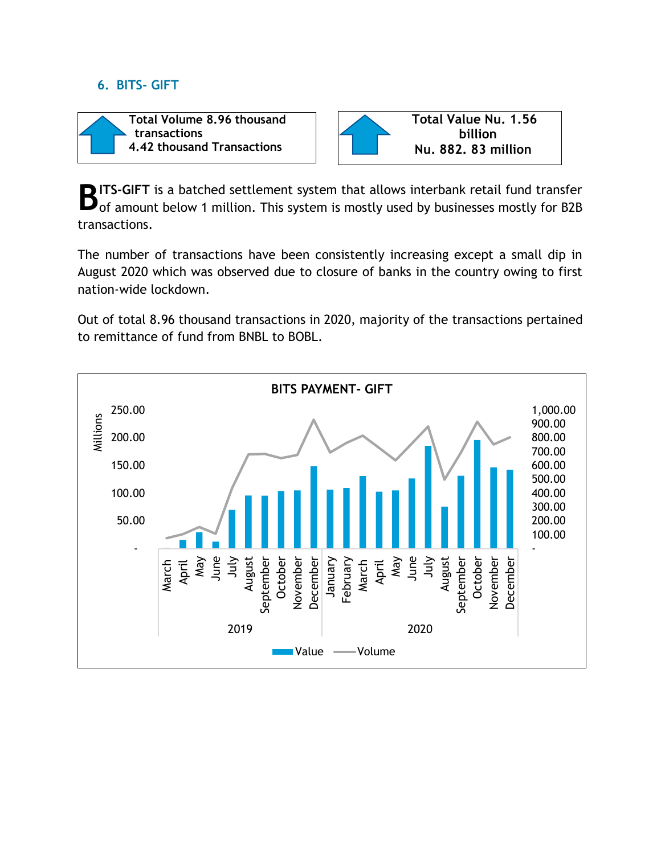### **6. BITS- GIFT**





**ITS-GIFT** is a batched settlement system that allows interbank retail fund transfer **B** ITS-GIFT is a batched settlement system that allows interbank retail fund transfer of a mount below 1 million. This system is mostly used by businesses mostly for B2B transactions.

The number of transactions have been consistently increasing except a small dip in August 2020 which was observed due to closure of banks in the country owing to first nation-wide lockdown.

Out of total 8.96 thousand transactions in 2020, majority of the transactions pertained to remittance of fund from BNBL to BOBL.

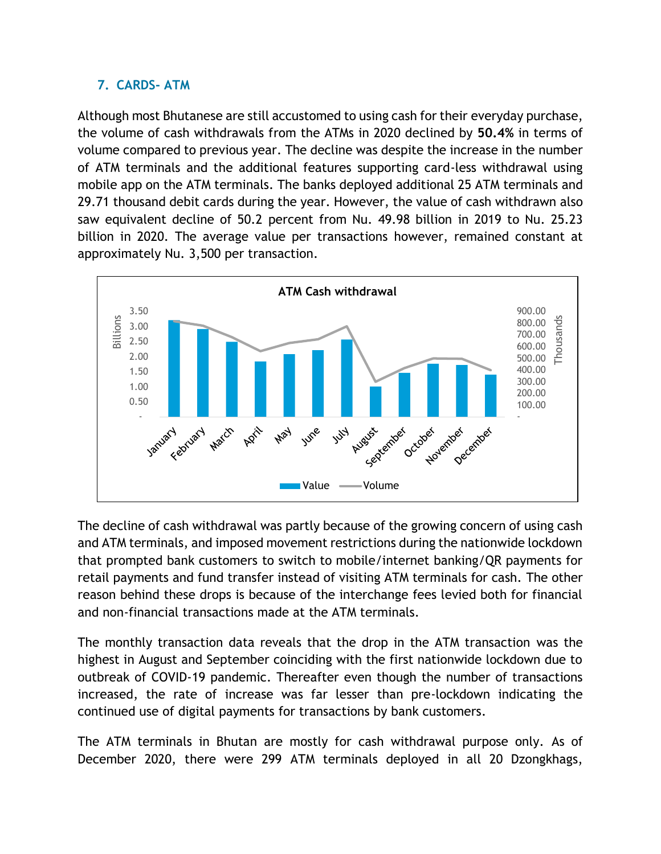## **7. CARDS- ATM**

Although most Bhutanese are still accustomed to using cash for their everyday purchase, the volume of cash withdrawals from the ATMs in 2020 declined by **50.4%** in terms of volume compared to previous year. The decline was despite the increase in the number of ATM terminals and the additional features supporting card-less withdrawal using mobile app on the ATM terminals. The banks deployed additional 25 ATM terminals and 29.71 thousand debit cards during the year. However, the value of cash withdrawn also saw equivalent decline of 50.2 percent from Nu. 49.98 billion in 2019 to Nu. 25.23 billion in 2020. The average value per transactions however, remained constant at approximately Nu. 3,500 per transaction.



The decline of cash withdrawal was partly because of the growing concern of using cash and ATM terminals, and imposed movement restrictions during the nationwide lockdown that prompted bank customers to switch to mobile/internet banking/QR payments for retail payments and fund transfer instead of visiting ATM terminals for cash. The other reason behind these drops is because of the interchange fees levied both for financial and non-financial transactions made at the ATM terminals.

The monthly transaction data reveals that the drop in the ATM transaction was the highest in August and September coinciding with the first nationwide lockdown due to outbreak of COVID-19 pandemic. Thereafter even though the number of transactions increased, the rate of increase was far lesser than pre-lockdown indicating the continued use of digital payments for transactions by bank customers.

The ATM terminals in Bhutan are mostly for cash withdrawal purpose only. As of December 2020, there were 299 ATM terminals deployed in all 20 Dzongkhags,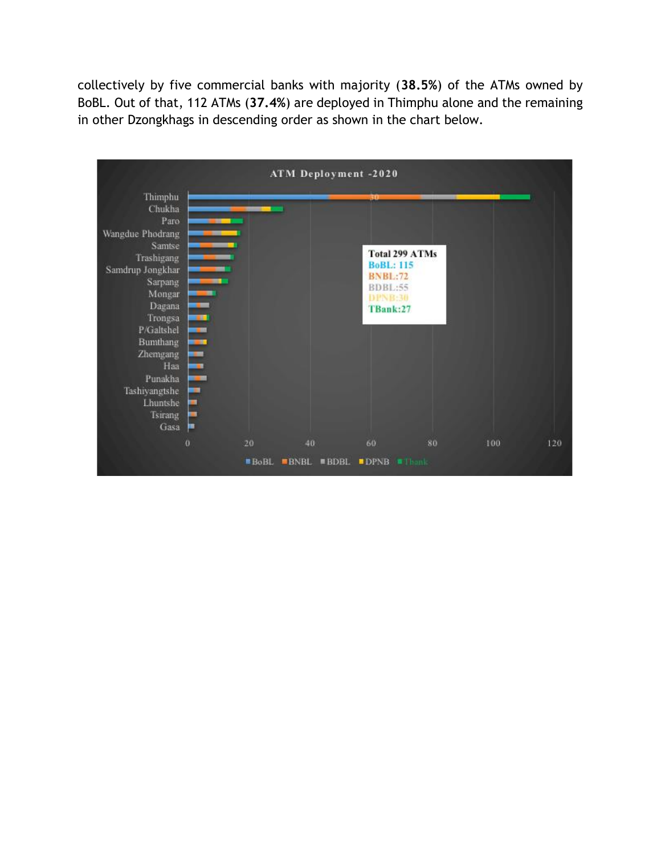collectively by five commercial banks with majority (**38.5%**) of the ATMs owned by BoBL. Out of that, 112 ATMs (**37.4%**) are deployed in Thimphu alone and the remaining in other Dzongkhags in descending order as shown in the chart below.